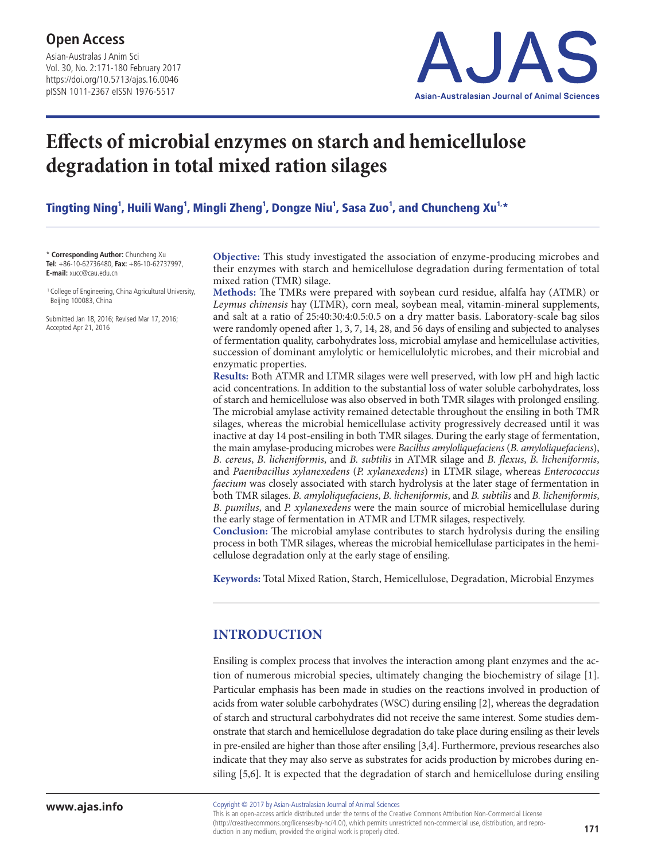Asian-Australas J Anim Sci Vol. 30, No. 2:171-180 February 2017 https://doi.org/10.5713/ajas.16.0046 pISSN 1011-2367 eISSN 1976-5517



# **Effects of microbial enzymes on starch and hemicellulose degradation in total mixed ration silages**

Tingting Ning<sup>1</sup>, Huili Wang<sup>1</sup>, Mingli Zheng<sup>1</sup>, Dongze Niu<sup>1</sup>, Sasa Zuo<sup>1</sup>, and Chuncheng Xu<sup>1.</sup>\*

\* **Corresponding Author:** Chuncheng Xu **Tel:** +86-10-62736480, **Fax:** +86-10-62737997, **E-mail:** xucc@cau.edu.cn

 1 College of Engineering, China Agricultural University, Beijing 100083, China

Submitted Jan 18, 2016; Revised Mar 17, 2016; Accepted Apr 21, 2016

**Objective:** This study investigated the association of enzyme-producing microbes and their enzymes with starch and hemicellulose degradation during fermentation of total mixed ration (TMR) silage.

**Methods:** The TMRs were prepared with soybean curd residue, alfalfa hay (ATMR) or *Leymus chinensis* hay (LTMR), corn meal, soybean meal, vitamin-mineral supplements, and salt at a ratio of 25:40:30:4:0.5:0.5 on a dry matter basis. Laboratory-scale bag silos were randomly opened after 1, 3, 7, 14, 28, and 56 days of ensiling and subjected to analyses of fermentation quality, carbohydrates loss, microbial amylase and hemicellulase activities, succession of dominant amylolytic or hemicellulolytic microbes, and their microbial and enzymatic properties.

**Results:** Both ATMR and LTMR silages were well preserved, with low pH and high lactic acid concentrations. In addition to the substantial loss of water soluble carbohydrates, loss of starch and hemicellulose was also observed in both TMR silages with prolonged ensiling. The microbial amylase activity remained detectable throughout the ensiling in both TMR silages, whereas the microbial hemicellulase activity progressively decreased until it was inactive at day 14 post-ensiling in both TMR silages. During the early stage of fermentation, the main amylase-producing microbes were *Bacillus amyloliquefaciens* (*B. amyloliquefaciens*), *B. cereus*, *B. licheniformis*, and *B. subtilis* in ATMR silage and *B. flexus*, *B. licheniformis*, and *Paenibacillus xylanexedens* (*P. xylanexedens*) in LTMR silage, whereas *Enterococcus faecium* was closely associated with starch hydrolysis at the later stage of fermentation in both TMR silages. *B. amyloliquefaciens*, *B. licheniformis*, and *B. subtilis* and *B. licheniformis*, *B. pumilus*, and *P. xylanexedens* were the main source of microbial hemicellulase during the early stage of fermentation in ATMR and LTMR silages, respectively.

**Conclusion:** The microbial amylase contributes to starch hydrolysis during the ensiling process in both TMR silages, whereas the microbial hemicellulase participates in the hemicellulose degradation only at the early stage of ensiling.

**Keywords:** Total Mixed Ration, Starch, Hemicellulose, Degradation, Microbial Enzymes

# **INTRODUCTION**

Ensiling is complex process that involves the interaction among plant enzymes and the action of numerous microbial species, ultimately changing the biochemistry of silage [1]. Particular emphasis has been made in studies on the reactions involved in production of acids from water soluble carbohydrates (WSC) during ensiling [2], whereas the degradation of starch and structural carbohydrates did not receive the same interest. Some studies demonstrate that starch and hemicellulose degradation do take place during ensiling as their levels in pre-ensiled are higher than those after ensiling [3,4]. Furthermore, previous researches also indicate that they may also serve as substrates for acids production by microbes during ensiling [5,6]. It is expected that the degradation of starch and hemicellulose during ensiling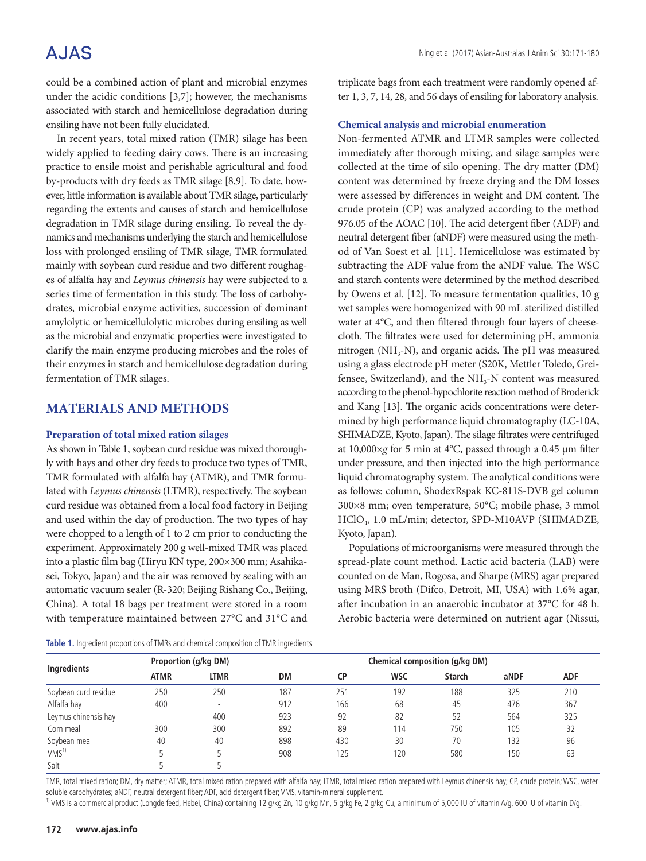# **AJAS**

could be a combined action of plant and microbial enzymes under the acidic conditions [3,7]; however, the mechanisms associated with starch and hemicellulose degradation during ensiling have not been fully elucidated.

In recent years, total mixed ration (TMR) silage has been widely applied to feeding dairy cows. There is an increasing practice to ensile moist and perishable agricultural and food by-products with dry feeds as TMR silage [8,9]. To date, however, little information is available about TMR silage, particularly regarding the extents and causes of starch and hemicellulose degradation in TMR silage during ensiling. To reveal the dynamics and mechanisms underlying the starch and hemicellulose loss with prolonged ensiling of TMR silage, TMR formulated mainly with soybean curd residue and two different roughages of alfalfa hay and *Leymus chinensis* hay were subjected to a series time of fermentation in this study. The loss of carbohydrates, microbial enzyme activities, succession of dominant amylolytic or hemicellulolytic microbes during ensiling as well as the microbial and enzymatic properties were investigated to clarify the main enzyme producing microbes and the roles of their enzymes in starch and hemicellulose degradation during fermentation of TMR silages.

## **MATERIALS AND METHODS**

#### **Preparation of total mixed ration silages**

As shown in Table 1, soybean curd residue was mixed thoroughly with hays and other dry feeds to produce two types of TMR, TMR formulated with alfalfa hay (ATMR), and TMR formulated with *Leymus chinensis* (LTMR), respectively. The soybean curd residue was obtained from a local food factory in Beijing and used within the day of production. The two types of hay were chopped to a length of 1 to 2 cm prior to conducting the experiment. Approximately 200 g well-mixed TMR was placed into a plastic film bag (Hiryu KN type, 200×300 mm; Asahikasei, Tokyo, Japan) and the air was removed by sealing with an automatic vacuum sealer (R-320; Beijing Rishang Co., Beijing, China). A total 18 bags per treatment were stored in a room with temperature maintained between 27°C and 31°C and

|  |  |  | Table 1. Ingredient proportions of TMRs and chemical composition of TMR ingredients |  |  |  |  |  |  |
|--|--|--|-------------------------------------------------------------------------------------|--|--|--|--|--|--|
|--|--|--|-------------------------------------------------------------------------------------|--|--|--|--|--|--|

triplicate bags from each treatment were randomly opened after 1, 3, 7, 14, 28, and 56 days of ensiling for laboratory analysis.

#### **Chemical analysis and microbial enumeration**

Non-fermented ATMR and LTMR samples were collected immediately after thorough mixing, and silage samples were collected at the time of silo opening. The dry matter (DM) content was determined by freeze drying and the DM losses were assessed by differences in weight and DM content. The crude protein (CP) was analyzed according to the method 976.05 of the AOAC [10]. The acid detergent fiber (ADF) and neutral detergent fiber (aNDF) were measured using the method of Van Soest et al. [11]. Hemicellulose was estimated by subtracting the ADF value from the aNDF value. The WSC and starch contents were determined by the method described by Owens et al. [12]. To measure fermentation qualities, 10 g wet samples were homogenized with 90 mL sterilized distilled water at 4°C, and then filtered through four layers of cheesecloth. The filtrates were used for determining pH, ammonia nitrogen ( $NH<sub>3</sub>-N$ ), and organic acids. The pH was measured using a glass electrode pH meter (S20K, Mettler Toledo, Greifensee, Switzerland), and the  $NH<sub>3</sub>$ -N content was measured according to the phenol-hypochlorite reaction method of Broderick and Kang [13]. The organic acids concentrations were determined by high performance liquid chromatography (LC-10A, SHIMADZE, Kyoto, Japan). The silage filtrates were centrifuged at 10,000×*g* for 5 min at 4°C, passed through a 0.45 µm filter under pressure, and then injected into the high performance liquid chromatography system. The analytical conditions were as follows: column, ShodexRspak KC-811S-DVB gel column 300×8 mm; oven temperature, 50°C; mobile phase, 3 mmol HClO4, 1.0 mL/min; detector, SPD-M10AVP (SHIMADZE, Kyoto, Japan).

Populations of microorganisms were measured through the spread-plate count method. Lactic acid bacteria (LAB) were counted on de Man, Rogosa, and Sharpe (MRS) agar prepared using MRS broth (Difco, Detroit, MI, USA) with 1.6% agar, after incubation in an anaerobic incubator at 37°C for 48 h. Aerobic bacteria were determined on nutrient agar (Nissui,

|                      |             | Proportion (g/kg DM) |     |           |            | <b>Chemical composition (g/kg DM)</b> |      |            |
|----------------------|-------------|----------------------|-----|-----------|------------|---------------------------------------|------|------------|
| Ingredients          | <b>ATMR</b> | <b>LTMR</b>          | DM  | <b>CP</b> | <b>WSC</b> | <b>Starch</b>                         | aNDF | <b>ADF</b> |
| Soybean curd residue | 250         | 250                  | 187 | 25'       | 192        | 188                                   | 325  | 210        |
| Alfalfa hay          | 400         | -                    | 912 | 166       | 68         | 45                                    | 476  | 367        |
| Leymus chinensis hay |             | 400                  | 923 | 92        | 82         | 52                                    | 564  | 325        |
| Corn meal            | 300         | 300                  | 892 | 89        | 114        | 750                                   | 105  | 32         |
| Soybean meal         | 40          | 40                   | 898 | 430       | 30         | 70                                    | 132  | 96         |
| VMS <sup>1</sup>     |             |                      | 908 | 125       | 120        | 580                                   | 150  | 63         |
| Salt                 |             |                      | ۰   |           |            |                                       |      |            |

TMR, total mixed ration; DM, dry matter; ATMR, total mixed ration prepared with alfalfa hay; LTMR, total mixed ration prepared with Leymus chinensis hay; CP, crude protein; WSC, water soluble carbohydrates; aNDF, neutral detergent fiber; ADF, acid detergent fiber; VMS, vitamin-mineral supplement.

<sup>1)</sup> VMS is a commercial product (Longde feed, Hebei, China) containing 12 g/kg Zn, 10 g/kg Mn, 5 g/kg Fe, 2 g/kg Cu, a minimum of 5,000 IU of vitamin A/g, 600 IU of vitamin D/g.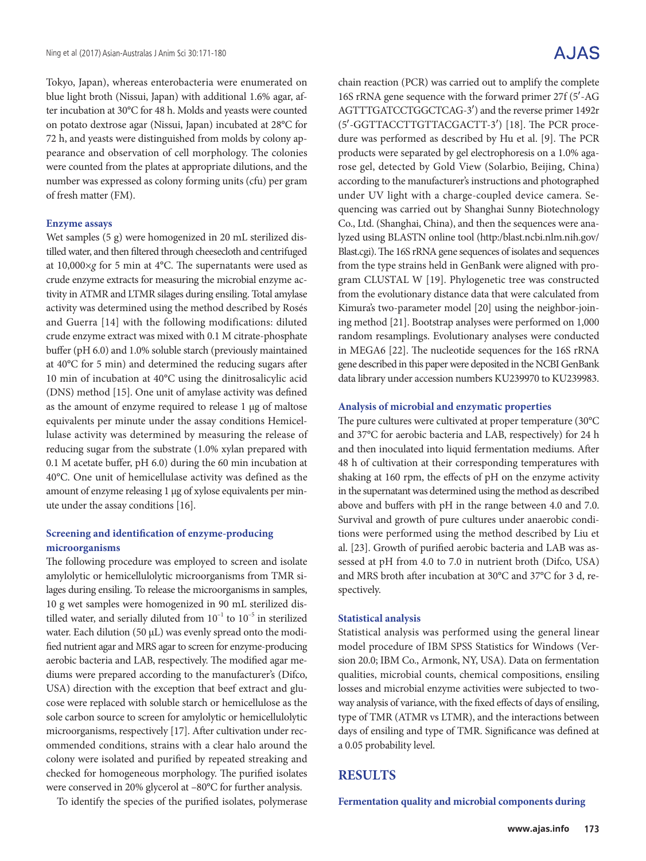Tokyo, Japan), whereas enterobacteria were enumerated on blue light broth (Nissui, Japan) with additional 1.6% agar, after incubation at 30°C for 48 h. Molds and yeasts were counted on potato dextrose agar (Nissui, Japan) incubated at 28°C for 72 h, and yeasts were distinguished from molds by colony appearance and observation of cell morphology. The colonies were counted from the plates at appropriate dilutions, and the number was expressed as colony forming units (cfu) per gram of fresh matter (FM).

#### **Enzyme assays**

Wet samples (5 g) were homogenized in 20 mL sterilized distilled water, and then filtered through cheesecloth and centrifuged at 10,000×*g* for 5 min at 4°C. The supernatants were used as crude enzyme extracts for measuring the microbial enzyme activity in ATMR and LTMR silages during ensiling. Total amylase activity was determined using the method described by Rosés and Guerra [14] with the following modifications: diluted crude enzyme extract was mixed with 0.1 M citrate-phosphate buffer (pH 6.0) and 1.0% soluble starch (previously maintained at 40°C for 5 min) and determined the reducing sugars after 10 min of incubation at 40°C using the dinitrosalicylic acid (DNS) method [15]. One unit of amylase activity was defined as the amount of enzyme required to release 1 µg of maltose equivalents per minute under the assay conditions Hemicellulase activity was determined by measuring the release of reducing sugar from the substrate (1.0% xylan prepared with 0.1 M acetate buffer, pH 6.0) during the 60 min incubation at 40°C. One unit of hemicellulase activity was defined as the amount of enzyme releasing 1 µg of xylose equivalents per minute under the assay conditions [16].

#### **Screening and identification of enzyme-producing microorganisms**

The following procedure was employed to screen and isolate amylolytic or hemicellulolytic microorganisms from TMR silages during ensiling. To release the microorganisms in samples, 10 g wet samples were homogenized in 90 mL sterilized distilled water, and serially diluted from  $10^{-1}$  to  $10^{-5}$  in sterilized water. Each dilution (50 µL) was evenly spread onto the modified nutrient agar and MRS agar to screen for enzyme-producing aerobic bacteria and LAB, respectively. The modified agar mediums were prepared according to the manufacturer's (Difco, USA) direction with the exception that beef extract and glucose were replaced with soluble starch or hemicellulose as the sole carbon source to screen for amylolytic or hemicellulolytic microorganisms, respectively [17]. After cultivation under recommended conditions, strains with a clear halo around the colony were isolated and purified by repeated streaking and checked for homogeneous morphology. The purified isolates were conserved in 20% glycerol at –80°C for further analysis.

To identify the species of the purified isolates, polymerase

# A.JAS

chain reaction (PCR) was carried out to amplify the complete 16S rRNA gene sequence with the forward primer 27f (5′-AG AGTTTGATCCTGGCTCAG-3′) and the reverse primer 1492r (5′-GGTTACCTTGTTACGACTT-3′) [18]. The PCR procedure was performed as described by Hu et al. [9]. The PCR products were separated by gel electrophoresis on a 1.0% agarose gel, detected by Gold View (Solarbio, Beijing, China) according to the manufacturer's instructions and photographed under UV light with a charge-coupled device camera. Sequencing was carried out by Shanghai Sunny Biotechnology Co., Ltd. (Shanghai, China), and then the sequences were analyzed using BLASTN online tool (http:/blast.ncbi.nlm.nih.gov/ Blast.cgi). The 16S rRNA gene sequences of isolates and sequences from the type strains held in GenBank were aligned with program CLUSTAL W [19]. Phylogenetic tree was constructed from the evolutionary distance data that were calculated from Kimura's two-parameter model [20] using the neighbor-joining method [21]. Bootstrap analyses were performed on 1,000 random resamplings. Evolutionary analyses were conducted in MEGA6 [22]. The nucleotide sequences for the 16S rRNA gene described in this paper were deposited in the NCBI GenBank data library under accession numbers KU239970 to KU239983.

#### **Analysis of microbial and enzymatic properties**

The pure cultures were cultivated at proper temperature (30°C and 37°C for aerobic bacteria and LAB, respectively) for 24 h and then inoculated into liquid fermentation mediums. After 48 h of cultivation at their corresponding temperatures with shaking at 160 rpm, the effects of pH on the enzyme activity in the supernatant was determined using the method as described above and buffers with pH in the range between 4.0 and 7.0. Survival and growth of pure cultures under anaerobic conditions were performed using the method described by Liu et al. [23]. Growth of purified aerobic bacteria and LAB was assessed at pH from 4.0 to 7.0 in nutrient broth (Difco, USA) and MRS broth after incubation at 30°C and 37°C for 3 d, respectively.

#### **Statistical analysis**

Statistical analysis was performed using the general linear model procedure of IBM SPSS Statistics for Windows (Version 20.0; IBM Co., Armonk, NY, USA). Data on fermentation qualities, microbial counts, chemical compositions, ensiling losses and microbial enzyme activities were subjected to twoway analysis of variance, with the fixed effects of days of ensiling, type of TMR (ATMR vs LTMR), and the interactions between days of ensiling and type of TMR. Significance was defined at a 0.05 probability level.

### **RESULTS**

**Fermentation quality and microbial components during**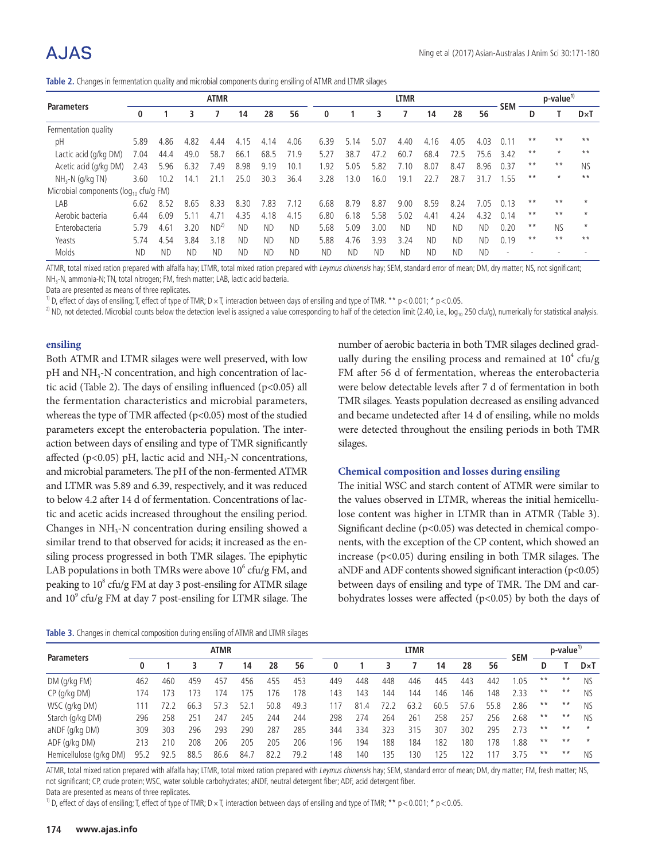# A.JAS

**Table 2.** Changes in fermentation quality and microbial components during ensiling of ATMR and LTMR silages

|                                             |           |           |               | <b>ATMR</b> |           |           |           |           | <b>LTMR</b> |           |           |           |           |           |                          |       | $p$ -value <sup>1)</sup> |              |
|---------------------------------------------|-----------|-----------|---------------|-------------|-----------|-----------|-----------|-----------|-------------|-----------|-----------|-----------|-----------|-----------|--------------------------|-------|--------------------------|--------------|
| <b>Parameters</b>                           | 0         |           | 3             |             | 14        | 28        | 56        | 0         |             | 3         |           | 14        | 28        | 56        | <b>SEM</b>               | D     |                          | $D \times T$ |
| Fermentation quality                        |           |           |               |             |           |           |           |           |             |           |           |           |           |           |                          |       |                          |              |
| рH                                          | 5.89      | 4.86      | 4.82          | 4.44        | 4.15      | 4.14      | 4.06      | 6.39      | 5.14        | 5.07      | 4.40      | 4.16      | 4.05      | 4.03      | 0.11                     | $* *$ | $***$                    | $**$         |
| Lactic acid (g/kg DM)                       | 7.04      | 44.4      | 49.0          | 58.7        | 66.       | 68.5      | 71.9      | 5.27      | 38.7        | 47.2      | 60.7      | 68.4      | 72.5      | 75.6      | 3.42                     | $* *$ | $\star$                  | $**$         |
| Acetic acid (g/kg DM)                       | 2.43      | 5.96      | 6.32          | .49         | 8.98      | 9.19      | 10.1      | 1.92      | 5.05        | 5.82      | 7.10      | 8.07      | 8.47      | 8.96      | 0.37                     | $* *$ | $***$                    | <b>NS</b>    |
| $NH3-N$ (g/kg TN)                           | 3.60      | 10.2      | 14.1          |             | 25.0      | 30.3      | 36.4      | 3.28      | 13.0        | 16.0      | 19.1      | 22.7      | 28.7      | 31.       | . 55                     | $* *$ | $\star$                  | $**$         |
| Microbial components ( $log_{10}$ cfu/g FM) |           |           |               |             |           |           |           |           |             |           |           |           |           |           |                          |       |                          |              |
| LAB                                         | 6.62      | 8.52      | 8.65          | 8.33        | 8.30      | '.83      | 7.12      | 6.68      | 8.79        | 8.87      | 9.00      | 8.59      | 8.24      | 7.05      | 0.13                     | $* *$ | $**$                     |              |
| Aerobic bacteria                            | 6.44      | 6.09      | $5.1^{\circ}$ | 4.7         | 4.35      | 4.18      | 4.15      | 6.80      | 6.18        | .58       | 5.02      | 4.41      | 4.24      | 4.32      | 0.14                     | $* *$ | $**$                     |              |
| Enterobacteria                              | 5.79      | 4.61      | 3.20          | $ND^2$      | <b>ND</b> | <b>ND</b> | <b>ND</b> | 5.68      | 5.09        | 3.00      | <b>ND</b> | <b>ND</b> | <b>ND</b> | <b>ND</b> | 0.20                     | $* *$ | <b>NS</b>                | $\star$      |
| Yeasts                                      | 5.74      | 4.54      | 3.84          | 3.18        | <b>ND</b> | <b>ND</b> | <b>ND</b> | 5.88      | 4.76        | 3.93      | 3.24      | <b>ND</b> | <b>ND</b> | <b>ND</b> | 0.19                     | $* *$ | $**$                     | $**$         |
| Molds                                       | <b>ND</b> | <b>ND</b> | <b>ND</b>     | ND          | <b>ND</b> | ND        | <b>ND</b> | <b>ND</b> | <b>ND</b>   | <b>ND</b> | <b>ND</b> | <b>ND</b> | <b>ND</b> | <b>ND</b> | $\overline{\phantom{a}}$ |       |                          |              |

ATMR, total mixed ration prepared with alfalfa hay; LTMR, total mixed ration prepared with Leymus chinensis hay; SEM, standard error of mean; DM, dry matter; NS, not significant; NH3-N, ammonia-N; TN, total nitrogen; FM, fresh matter; LAB, lactic acid bacteria.

Data are presented as means of three replicates.

<sup>1)</sup> D, effect of days of ensiling; T, effect of type of TMR; D × T, interaction between days of ensiling and type of TMR. \*\* p < 0.001; \* p < 0.05.

<sup>2)</sup> ND, not detected. Microbial counts below the detection level is assigned a value corresponding to half of the detection limit (2.40, i.e., log<sub>10</sub> 250 cfu/g), numerically for statistical analysis.

#### **ensiling**

Both ATMR and LTMR silages were well preserved, with low pH and NH<sub>3</sub>-N concentration, and high concentration of lactic acid (Table 2). The days of ensiling influenced ( $p$ <0.05) all the fermentation characteristics and microbial parameters, whereas the type of TMR affected (p<0.05) most of the studied parameters except the enterobacteria population. The interaction between days of ensiling and type of TMR significantly affected ( $p$ <0.05) pH, lactic acid and NH<sub>3</sub>-N concentrations, and microbial parameters. The pH of the non-fermented ATMR and LTMR was 5.89 and 6.39, respectively, and it was reduced to below 4.2 after 14 d of fermentation. Concentrations of lactic and acetic acids increased throughout the ensiling period. Changes in  $NH<sub>3</sub>-N$  concentration during ensiling showed a similar trend to that observed for acids; it increased as the ensiling process progressed in both TMR silages. The epiphytic LAB populations in both TMRs were above  $10^6$  cfu/g FM, and peaking to 10<sup>8</sup> cfu/g FM at day 3 post-ensiling for ATMR silage and 10<sup>9</sup> cfu/g FM at day 7 post-ensiling for LTMR silage. The

**Table 3.** Changes in chemical composition during ensiling of ATMR and LTMR silages

number of aerobic bacteria in both TMR silages declined gradually during the ensiling process and remained at  $10^4$  cfu/g FM after 56 d of fermentation, whereas the enterobacteria were below detectable levels after 7 d of fermentation in both TMR silages. Yeasts population decreased as ensiling advanced and became undetected after 14 d of ensiling, while no molds were detected throughout the ensiling periods in both TMR silages.

#### **Chemical composition and losses during ensiling**

The initial WSC and starch content of ATMR were similar to the values observed in LTMR, whereas the initial hemicellulose content was higher in LTMR than in ATMR (Table 3). Significant decline (p<0.05) was detected in chemical components, with the exception of the CP content, which showed an increase  $(p<0.05)$  during ensiling in both TMR silages. The aNDF and ADF contents showed significant interaction  $(p<0.05)$ between days of ensiling and type of TMR. The DM and carbohydrates losses were affected (p<0.05) by both the days of

|                         | <b>ATMR</b> |       |      |      |      |      |      | <b>LTMR</b> |      |      |                 |      |      |      |            |       | p-value <sup>1</sup> |              |  |
|-------------------------|-------------|-------|------|------|------|------|------|-------------|------|------|-----------------|------|------|------|------------|-------|----------------------|--------------|--|
| <b>Parameters</b>       | 0           |       |      |      | 14   | 28   | 56   |             |      |      |                 | 14   | 28   | 56   | <b>SEM</b> |       |                      | $D \times T$ |  |
| DM(q/kg FM)             | 462         | 460   | 459  | 457  | 456  | 455  | 453  | 449         | 448  | 448  | 446             | 445  | 443  | 442  | 1.05       | $* *$ | $***$                | NS           |  |
| $CP$ (g/kg DM)          | 174         | 173   | -73  | 174  | 75   | 176  | 178  | 143         | 143  | 144  | 144             | 146  | 146  | 148  | 2.33       | $* *$ | $***$                | NS.          |  |
| WSC (g/kg DM)           |             | (2.7) | 66.3 | 57.3 | 52.  | 50.8 | 49.3 |             | 81.4 | 72.2 | 63.2            | 60.5 | 57.6 | 55.8 | 2.86       | $* *$ | $***$                | NS           |  |
| Starch (g/kg DM)        | 296         | 258   | 251  | 247  | 245  | 244  | 244  | 298         | 274  | 264  | 26 <sup>′</sup> | 258  | 257  | 256  | 2.68       | $* *$ | $***$                | NS.          |  |
| aNDF (g/kg DM)          | 309         | 303   | 296  | 293  | 290  | 287  | 285  | 344         | 334  | 323  | 315             | 307  | 302  | 295  | 2.73       | $***$ | $***$                | $\star$      |  |
| ADF (g/kg DM)           | 213         | 210   | 208  | 206  | 205  | 205  | 206  | 196         | 194  | 188  | 184             | 182  | 180  | 178  | 88.        | $**$  | $**$                 | $\star$      |  |
| Hemicellulose (g/kg DM) | 95.2        | 92.5  | 88.5 | 86.6 | 84.7 | 82.2 | 79.2 | 148         | 140  | 135  | 130             | 125  | 122  |      | 3.75       | $***$ | $***$                | NS.          |  |

ATMR, total mixed ration prepared with alfalfa hay; LTMR, total mixed ration prepared with Leymus chinensis hay; SEM, standard error of mean; DM, dry matter; FM, fresh matter; NS, not significant; CP, crude protein; WSC, water soluble carbohydrates; aNDF, neutral detergent fiber; ADF, acid detergent fiber.

Data are presented as means of three replicates.

<sup>1)</sup> D, effect of days of ensiling; T, effect of type of TMR; D × T, interaction between days of ensiling and type of TMR; \*\* p < 0.001; \* p < 0.05.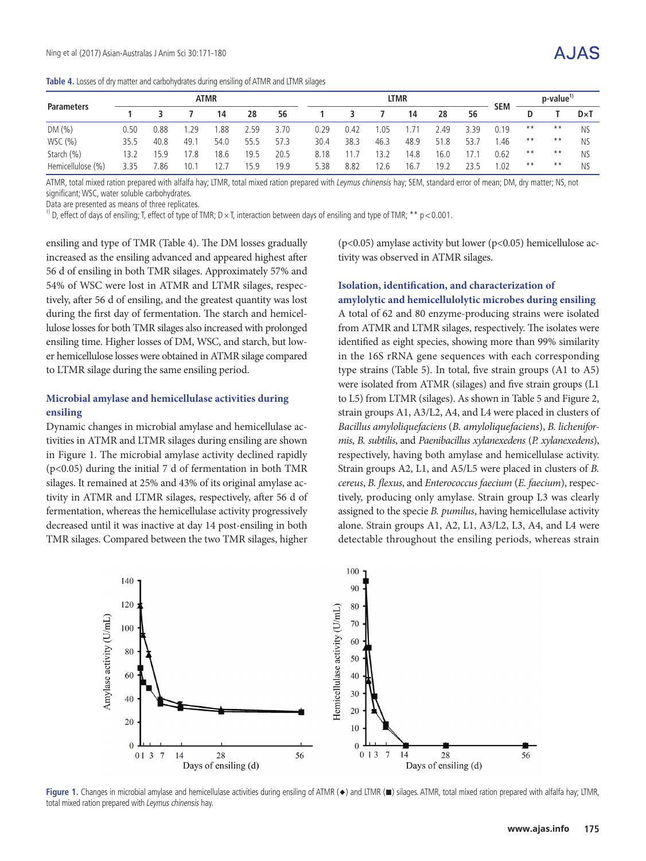**Table 4.** Losses of dry matter and carbohydrates during ensiling of ATMR and LTMR silages

|                   | <b>ATMR</b> |      |      |      |      |      |      | <b>LTMR</b> |      |      |      |      |            |       | p-value |              |
|-------------------|-------------|------|------|------|------|------|------|-------------|------|------|------|------|------------|-------|---------|--------------|
| <b>Parameters</b> |             |      |      | 14   | 28   | 56   |      |             |      | 14   | 28   | 56   | <b>SEM</b> |       |         | $D \times T$ |
| DM(%)             | 0.50        | J.88 | 1.29 | .88  | 2.59 | 3.70 | 0.29 | 0.42        | .05  | .71  | 2.49 | 3.39 | 0.19       | $* *$ | $***$   | <b>NS</b>    |
| WSC (%)           | 35.5        | 40.8 | 49.  | 54.0 | 55.5 | 57.3 | 30.4 | 38.3        | 46.3 | 48.9 | 51.8 | 53.7 | .46        | $***$ | $***$   | <b>NS</b>    |
| Starch (%)        | 13.2        | 15.9 | 17.8 | 18.6 | 19.5 | 20.5 | 8.18 | 11.7        | 13.2 | 14.8 | 16.0 | 17.  | 0.62       | $* *$ | $***$   | <b>NS</b>    |
| Hemicellulose (%) | 3.35        | .86  | 10.  | 12.7 | 15.9 | 19.9 | 5.38 | 8.82        | 12.6 | 16.7 | 19.2 | 235  | .02        | $***$ | $***$   | <b>NS</b>    |

ATMR, total mixed ration prepared with alfalfa hay; LTMR, total mixed ration prepared with Leymus chinensis hay; SEM, standard error of mean; DM, dry matter; NS, not significant; WSC, water soluble carbohydrates.

Data are presented as means of three replicates.

<sup>1)</sup> D, effect of days of ensiling; T, effect of type of TMR;  $D \times T$ , interaction between days of ensiling and type of TMR; \*\*  $p < 0.001$ .

ensiling and type of TMR (Table 4). The DM losses gradually increased as the ensiling advanced and appeared highest after 56 d of ensiling in both TMR silages. Approximately 57% and 54% of WSC were lost in ATMR and LTMR silages, respectively, after 56 d of ensiling, and the greatest quantity was lost during the first day of fermentation. The starch and hemicellulose losses for both TMR silages also increased with prolonged ensiling time. Higher losses of DM, WSC, and starch, but lower hemicellulose losses were obtained in ATMR silage compared to LTMR silage during the same ensiling period.

#### **Microbial amylase and hemicellulase activities during ensiling**

Dynamic changes in microbial amylase and hemicellulase activities in ATMR and LTMR silages during ensiling are shown in Figure 1. The microbial amylase activity declined rapidly (p<0.05) during the initial 7 d of fermentation in both TMR silages. It remained at 25% and 43% of its original amylase activity in ATMR and LTMR silages, respectively, after 56 d of fermentation, whereas the hemicellulase activity progressively decreased until it was inactive at day 14 post-ensiling in both TMR silages. Compared between the two TMR silages, higher

( $p$ <0.05) amylase activity but lower ( $p$ <0.05) hemicellulose activity was observed in ATMR silages.

#### **Isolation, identification, and characterization of amylolytic and hemicellulolytic microbes during ensiling**

A total of 62 and 80 enzyme-producing strains were isolated from ATMR and LTMR silages, respectively. The isolates were identified as eight species, showing more than 99% similarity in the 16S rRNA gene sequences with each corresponding type strains (Table 5). In total, five strain groups (A1 to A5) were isolated from ATMR (silages) and five strain groups (L1 to L5) from LTMR (silages). As shown in Table 5 and Figure 2, strain groups A1, A3/L2, A4, and L4 were placed in clusters of *Bacillus amyloliquefaciens* (*B. amyloliquefaciens*), *B. licheniformis*, *B. subtilis*, and *Paenibacillus xylanexedens* (*P. xylanexedens*), respectively, having both amylase and hemicellulase activity. Strain groups A2, L1, and A5/L5 were placed in clusters of *B. cereus*, *B. flexus*, and *Enterococcus faecium* (*E. faecium*), respectively, producing only amylase. Strain group L3 was clearly assigned to the specie *B. pumilus*, having hemicellulase activity alone. Strain groups A1, A2, L1, A3/L2, L3, A4, and L4 were detectable throughout the ensiling periods, whereas strain



**Figure 1.** Changes in microbial amylase and hemicellulase activities during ensiling of ATMR (◆) and LTMR (■) silages. ATMR, total mixed ration prepared with alfalfa hay; LTMR, total mixed ration prepared with Leymus chinensis hay.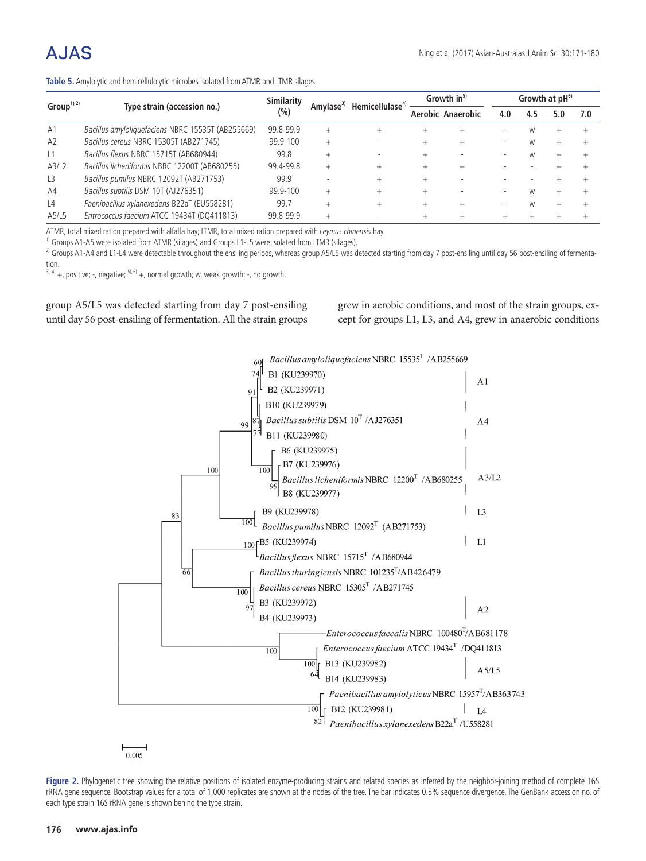# $A. IAS$

| Table 5. Amylolytic and hemicellulolytic microbes isolated from ATMR and LTMR silages |  |
|---------------------------------------------------------------------------------------|--|
|---------------------------------------------------------------------------------------|--|

| $Group^{1,2)}$      |                                                   | <b>Similarity</b> |        | Hemicellulase <sup>4)</sup> | Growth in <sup>5)</sup> | Growth at $pH^{6}$ |     |     |     |
|---------------------|---------------------------------------------------|-------------------|--------|-----------------------------|-------------------------|--------------------|-----|-----|-----|
|                     | Type strain (accession no.)                       | (%)               |        |                             | Aerobic Anaerobic       | 4.0                | 4.5 | 5.0 | 7.0 |
| A1                  | Bacillus amyloliquefaciens NBRC 15535T (AB255669) | 99.8-99.9         | $^{+}$ |                             |                         |                    | W   |     |     |
| A2                  | Bacillus cereus NBRC 15305T (AB271745)            | 99.9-100          |        |                             |                         |                    | W   |     |     |
| $\lfloor 1$         | Bacillus flexus NBRC 15715T (AB680944)            | 99.8              |        |                             |                         |                    |     |     |     |
| A3/L2               | Bacillus licheniformis NBRC 12200T (AB680255)     | 99.4-99.8         |        |                             |                         |                    |     |     |     |
| L <sub>3</sub>      | Bacillus pumilus NBRC 12092T (AB271753)           | 99.9              |        |                             |                         |                    |     |     |     |
| A4                  | Bacillus subtilis DSM 10T (AJ276351)              | 99.9-100          |        |                             |                         |                    | W   |     |     |
| $\lfloor 4 \rfloor$ | Paenibacillus xylanexedens B22aT (EU558281)       | 99.7              |        |                             |                         |                    | W   |     |     |
| A5/L5               | Entrococcus faecium ATCC 19434T (DQ411813)        | 99.8-99.9         |        |                             |                         |                    |     |     |     |

ATMR, total mixed ration prepared with alfalfa hay; LTMR, total mixed ration prepared with Leymus chinensis hay.

<sup>1)</sup> Groups A1-A5 were isolated from ATMR (silages) and Groups L1-L5 were isolated from LTMR (silages).

<sup>2)</sup> Groups A1-A4 and L1-L4 were detectable throughout the ensiling periods, whereas group A5/L5 was detected starting from day 7 post-ensiling until day 56 post-ensiling of fermentation.

 $3$ ), 4) +, positive; -, negative;  $5$ ), 6) +, normal growth; w, weak growth; -, no growth.

group A5/L5 was detected starting from day 7 post-ensiling until day 56 post-ensiling of fermentation. All the strain groups grew in aerobic conditions, and most of the strain groups, except for groups L1, L3, and A4, grew in anaerobic conditions



Figure 2. Phylogenetic tree showing the relative positions of isolated enzyme-producing strains and related species as inferred by the neighbor-joining method of complete 16S rRNA gene sequence. Bootstrap values for a total of 1,000 replicates are shown at the nodes of the tree. The bar indicates 0.5% sequence divergence. The GenBank accession no. of each type strain 16S rRNA gene is shown behind the type strain.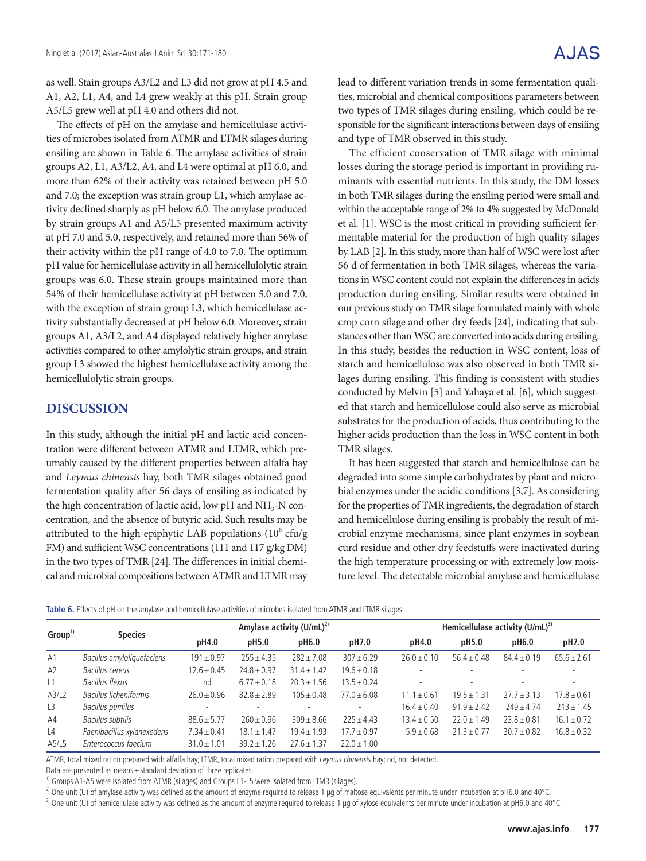as well. Stain groups A3/L2 and L3 did not grow at pH 4.5 and A1, A2, L1, A4, and L4 grew weakly at this pH. Strain group A5/L5 grew well at pH 4.0 and others did not.

The effects of pH on the amylase and hemicellulase activities of microbes isolated from ATMR and LTMR silages during ensiling are shown in Table 6. The amylase activities of strain groups A2, L1, A3/L2, A4, and L4 were optimal at pH 6.0, and more than 62% of their activity was retained between pH 5.0 and 7.0; the exception was strain group L1, which amylase activity declined sharply as pH below 6.0. The amylase produced by strain groups A1 and A5/L5 presented maximum activity at pH 7.0 and 5.0, respectively, and retained more than 56% of their activity within the pH range of 4.0 to 7.0. The optimum pH value for hemicellulase activity in all hemicellulolytic strain groups was 6.0. These strain groups maintained more than 54% of their hemicellulase activity at pH between 5.0 and 7.0, with the exception of strain group L3, which hemicellulase activity substantially decreased at pH below 6.0. Moreover, strain groups A1, A3/L2, and A4 displayed relatively higher amylase activities compared to other amylolytic strain groups, and strain group L3 showed the highest hemicellulase activity among the hemicellulolytic strain groups.

## **DISCUSSION**

In this study, although the initial pH and lactic acid concentration were different between ATMR and LTMR, which preumably caused by the different properties between alfalfa hay and *Leymus chinensis* hay, both TMR silages obtained good fermentation quality after 56 days of ensiling as indicated by the high concentration of lactic acid, low  $pH$  and  $NH<sub>3</sub>$ -N concentration, and the absence of butyric acid. Such results may be attributed to the high epiphytic LAB populations  $(10^6 \text{ cfu/g})$ FM) and sufficient WSC concentrations (111 and 117 g/kg DM) in the two types of TMR [24]. The differences in initial chemical and microbial compositions between ATMR and LTMR may

lead to different variation trends in some fermentation qualities, microbial and chemical compositions parameters between two types of TMR silages during ensiling, which could be responsible for the significant interactions between days of ensiling

and type of TMR observed in this study.

The efficient conservation of TMR silage with minimal losses during the storage period is important in providing ruminants with essential nutrients. In this study, the DM losses in both TMR silages during the ensiling period were small and within the acceptable range of 2% to 4% suggested by McDonald et al. [1]. WSC is the most critical in providing sufficient fermentable material for the production of high quality silages by LAB [2]. In this study, more than half of WSC were lost after 56 d of fermentation in both TMR silages, whereas the variations in WSC content could not explain the differences in acids production during ensiling. Similar results were obtained in our previous study on TMR silage formulated mainly with whole crop corn silage and other dry feeds [24], indicating that substances other than WSC are converted into acids during ensiling. In this study, besides the reduction in WSC content, loss of starch and hemicellulose was also observed in both TMR silages during ensiling. This finding is consistent with studies conducted by Melvin [5] and Yahaya et al. [6], which suggested that starch and hemicellulose could also serve as microbial substrates for the production of acids, thus contributing to the higher acids production than the loss in WSC content in both TMR silages.

It has been suggested that starch and hemicellulose can be degraded into some simple carbohydrates by plant and microbial enzymes under the acidic conditions [3,7]. As considering for the properties of TMR ingredients, the degradation of starch and hemicellulose during ensiling is probably the result of microbial enzyme mechanisms, since plant enzymes in soybean curd residue and other dry feedstuffs were inactivated during the high temperature processing or with extremely low moisture level. The detectable microbial amylase and hemicellulase

| <b>Table 6.</b> Effects of pH on the amylase and hemicellulase activities of microbes isolated from ATMR and LTMR silages |  |
|---------------------------------------------------------------------------------------------------------------------------|--|
|---------------------------------------------------------------------------------------------------------------------------|--|

| Group <sup>1</sup>  | <b>Species</b>             |                 |                 | Amylase activity $(U/mL)^{2)}$ |                 |                 | Hemicellulase activity $(U/mL)^{3}$ |                 |                 |  |  |  |  |
|---------------------|----------------------------|-----------------|-----------------|--------------------------------|-----------------|-----------------|-------------------------------------|-----------------|-----------------|--|--|--|--|
|                     |                            | pH4.0           | pH5.0           | pH6.0                          | pH7.0           | pH4.0           | pH5.0                               | pH6.0           | pH7.0           |  |  |  |  |
| A1                  | Bacillus amyloliquefaciens | $191 \pm 0.97$  | $255 + 4.35$    | $282 + 7.08$                   | $307 + 6.29$    | $26.0 + 0.10$   | $56.4 \pm 0.48$                     | $84.4 \pm 0.19$ | $65.6 \pm 2.61$ |  |  |  |  |
| A2                  | Bacillus cereus            | $12.6 \pm 0.45$ | $24.8 \pm 0.97$ | $31.4 \pm 1.42$                | $19.6 \pm 0.18$ |                 |                                     |                 |                 |  |  |  |  |
| $\lfloor 1 \rfloor$ | Bacillus flexus            | nd              | $6.77 \pm 0.18$ | $20.3 \pm 1.56$                | $13.5 \pm 0.24$ |                 |                                     |                 | ٠               |  |  |  |  |
| A3/L2               | Bacillus licheniformis     | $26.0 + 0.96$   | $82.8 + 2.89$   | $105 + 0.48$                   | $77.0 + 6.08$   | $11.1 \pm 0.61$ | $19.5 + 1.31$                       | $27.7 + 3.13$   | $17.8 + 0.61$   |  |  |  |  |
| L3                  | Bacillus pumilus           |                 |                 |                                |                 | $16.4 \pm 0.40$ | $91.9 + 2.42$                       | $249 \pm 4.74$  | $213 + 1.45$    |  |  |  |  |
| A4                  | Bacillus subtilis          | $88.6 \pm 5.77$ | $260 \pm 0.96$  | $309 \pm 8.66$                 | $225 + 4.43$    | $13.4 \pm 0.50$ | $22.0 + 1.49$                       | $23.8 \pm 0.81$ | $16.1 \pm 0.72$ |  |  |  |  |
| $\lfloor 4 \rfloor$ | Paenibacillus xylanexedens | $7.34 \pm 0.41$ | $18.1 \pm 1.47$ | $19.4 \pm 1.93$                | $17.7 + 0.97$   | $5.9 + 0.68$    | $21.3 + 0.77$                       | $30.7 + 0.82$   | $16.8 + 0.32$   |  |  |  |  |
| A5/L5               | Enterococcus faecium       | $31.0 \pm 1.01$ | $39.2 \pm 1.26$ | $27.6 \pm 1.37$                | $22.0 \pm 1.00$ |                 |                                     |                 |                 |  |  |  |  |

ATMR, total mixed ration prepared with alfalfa hay; LTMR, total mixed ration prepared with Leymus chinensis hay; nd, not detected.

Data are presented as means  $\pm$  standard deviation of three replicates.

<sup>1)</sup> Groups A1-A5 were isolated from ATMR (silages) and Groups L1-L5 were isolated from LTMR (silages).

<sup>2)</sup> One unit (U) of amylase activity was defined as the amount of enzyme required to release 1 µg of maltose equivalents per minute under incubation at pH6.0 and 40°C.

3) One unit (U) of hemicellulase activity was defined as the amount of enzyme required to release 1 µg of xylose equivalents per minute under incubation at pH6.0 and 40°C.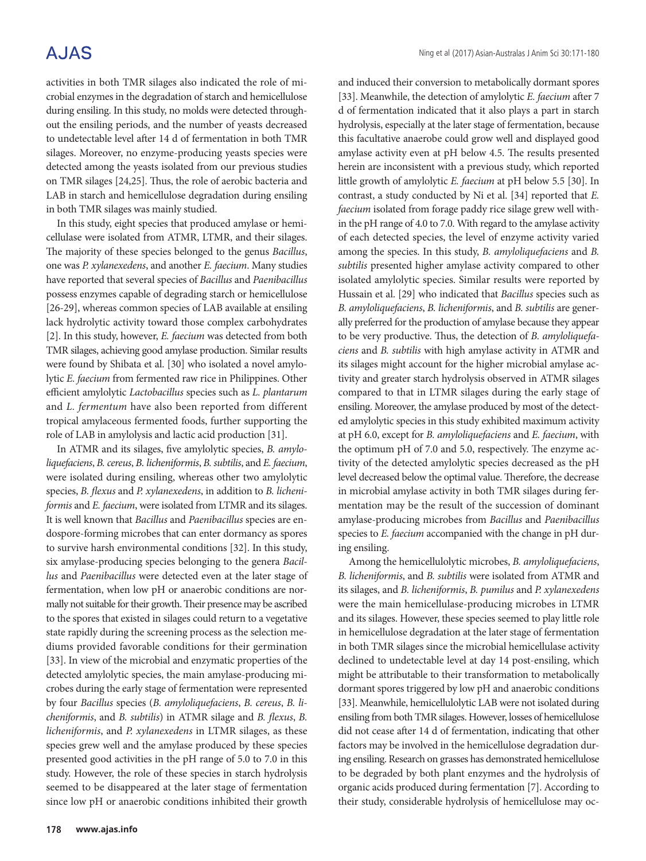# **AJAS**

activities in both TMR silages also indicated the role of microbial enzymes in the degradation of starch and hemicellulose during ensiling. In this study, no molds were detected throughout the ensiling periods, and the number of yeasts decreased to undetectable level after 14 d of fermentation in both TMR silages. Moreover, no enzyme-producing yeasts species were detected among the yeasts isolated from our previous studies on TMR silages [24,25]. Thus, the role of aerobic bacteria and LAB in starch and hemicellulose degradation during ensiling in both TMR silages was mainly studied.

In this study, eight species that produced amylase or hemicellulase were isolated from ATMR, LTMR, and their silages. The majority of these species belonged to the genus *Bacillus*, one was *P. xylanexedens*, and another *E. faecium*. Many studies have reported that several species of *Bacillus* and *Paenibacillus* possess enzymes capable of degrading starch or hemicellulose [26-29], whereas common species of LAB available at ensiling lack hydrolytic activity toward those complex carbohydrates [2]. In this study, however, *E. faecium* was detected from both TMR silages, achieving good amylase production. Similar results were found by Shibata et al. [30] who isolated a novel amylolytic *E. faecium* from fermented raw rice in Philippines. Other efficient amylolytic *Lactobacillus* species such as *L. plantarum* and *L. fermentum* have also been reported from different tropical amylaceous fermented foods, further supporting the role of LAB in amylolysis and lactic acid production [31].

In ATMR and its silages, five amylolytic species, *B. amyloliquefaciens*, *B. cereus*, *B. licheniformis*, *B. subtilis*, and *E. faecium*, were isolated during ensiling, whereas other two amylolytic species, *B. flexus* and *P. xylanexedens*, in addition to *B. licheniformis* and *E. faecium*, were isolated from LTMR and its silages. It is well known that *Bacillus* and *Paenibacillus* species are endospore-forming microbes that can enter dormancy as spores to survive harsh environmental conditions [32]. In this study, six amylase-producing species belonging to the genera *Bacillus* and *Paenibacillus* were detected even at the later stage of fermentation, when low pH or anaerobic conditions are normally not suitable for their growth. Their presence may be ascribed to the spores that existed in silages could return to a vegetative state rapidly during the screening process as the selection mediums provided favorable conditions for their germination [33]. In view of the microbial and enzymatic properties of the detected amylolytic species, the main amylase-producing microbes during the early stage of fermentation were represented by four *Bacillus* species (*B. amyloliquefaciens*, *B. cereus*, *B. licheniformis*, and *B. subtilis*) in ATMR silage and *B. flexus*, *B. licheniformis*, and *P. xylanexedens* in LTMR silages, as these species grew well and the amylase produced by these species presented good activities in the pH range of 5.0 to 7.0 in this study. However, the role of these species in starch hydrolysis seemed to be disappeared at the later stage of fermentation since low pH or anaerobic conditions inhibited their growth

and induced their conversion to metabolically dormant spores [33]. Meanwhile, the detection of amylolytic *E. faecium* after 7 d of fermentation indicated that it also plays a part in starch hydrolysis, especially at the later stage of fermentation, because this facultative anaerobe could grow well and displayed good amylase activity even at pH below 4.5. The results presented herein are inconsistent with a previous study, which reported little growth of amylolytic *E. faecium* at pH below 5.5 [30]. In contrast, a study conducted by Ni et al. [34] reported that *E. faecium* isolated from forage paddy rice silage grew well within the pH range of 4.0 to 7.0. With regard to the amylase activity of each detected species, the level of enzyme activity varied among the species. In this study, *B. amyloliquefaciens* and *B. subtilis* presented higher amylase activity compared to other isolated amylolytic species. Similar results were reported by Hussain et al. [29] who indicated that *Bacillus* species such as *B. amyloliquefaciens*, *B. licheniformis*, and *B. subtilis* are generally preferred for the production of amylase because they appear to be very productive. Thus, the detection of *B. amyloliquefaciens* and *B. subtilis* with high amylase activity in ATMR and its silages might account for the higher microbial amylase activity and greater starch hydrolysis observed in ATMR silages compared to that in LTMR silages during the early stage of ensiling. Moreover, the amylase produced by most of the detected amylolytic species in this study exhibited maximum activity at pH 6.0, except for *B. amyloliquefaciens* and *E. faecium*, with the optimum pH of 7.0 and 5.0, respectively. The enzyme activity of the detected amylolytic species decreased as the pH level decreased below the optimal value. Therefore, the decrease in microbial amylase activity in both TMR silages during fermentation may be the result of the succession of dominant amylase-producing microbes from *Bacillus* and *Paenibacillus* species to *E. faecium* accompanied with the change in pH during ensiling.

Among the hemicellulolytic microbes, *B. amyloliquefaciens*, *B. licheniformis*, and *B. subtilis* were isolated from ATMR and its silages, and *B. licheniformis*, *B. pumilus* and *P. xylanexedens*  were the main hemicellulase-producing microbes in LTMR and its silages. However, these species seemed to play little role in hemicellulose degradation at the later stage of fermentation in both TMR silages since the microbial hemicellulase activity declined to undetectable level at day 14 post-ensiling, which might be attributable to their transformation to metabolically dormant spores triggered by low pH and anaerobic conditions [33]. Meanwhile, hemicellulolytic LAB were not isolated during ensiling from both TMR silages. However, losses of hemicellulose did not cease after 14 d of fermentation, indicating that other factors may be involved in the hemicellulose degradation during ensiling. Research on grasses has demonstrated hemicellulose to be degraded by both plant enzymes and the hydrolysis of organic acids produced during fermentation [7]. According to their study, considerable hydrolysis of hemicellulose may oc-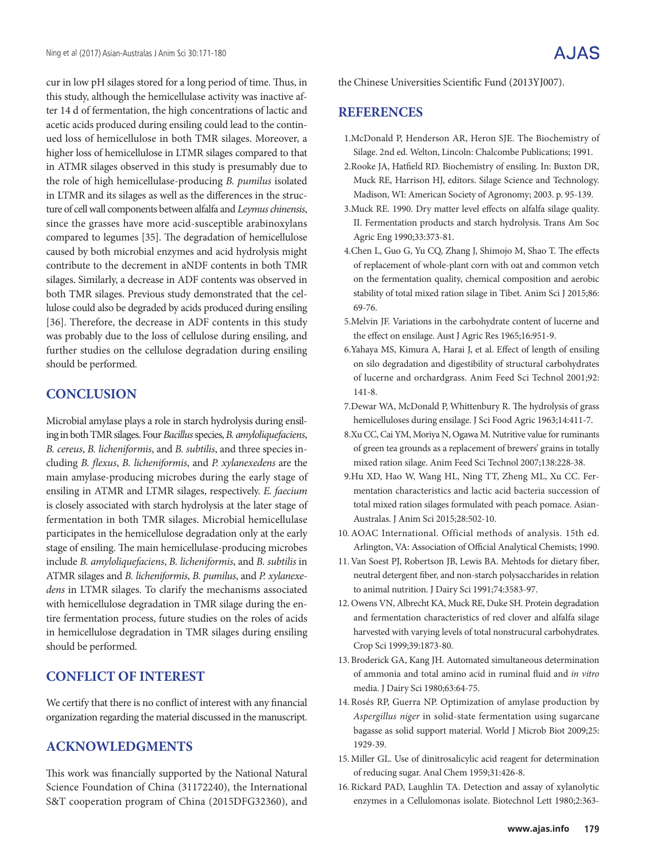cur in low pH silages stored for a long period of time. Thus, in this study, although the hemicellulase activity was inactive after 14 d of fermentation, the high concentrations of lactic and acetic acids produced during ensiling could lead to the continued loss of hemicellulose in both TMR silages. Moreover, a higher loss of hemicellulose in LTMR silages compared to that in ATMR silages observed in this study is presumably due to the role of high hemicellulase-producing *B. pumilus* isolated in LTMR and its silages as well as the differences in the structure of cell wall components between alfalfa and *Leymus chinensis*, since the grasses have more acid-susceptible arabinoxylans compared to legumes [35]. The degradation of hemicellulose caused by both microbial enzymes and acid hydrolysis might contribute to the decrement in aNDF contents in both TMR silages. Similarly, a decrease in ADF contents was observed in both TMR silages. Previous study demonstrated that the cellulose could also be degraded by acids produced during ensiling [36]. Therefore, the decrease in ADF contents in this study was probably due to the loss of cellulose during ensiling, and further studies on the cellulose degradation during ensiling should be performed.

## **CONCLUSION**

Microbial amylase plays a role in starch hydrolysis during ensiling in both TMR silages. Four *Bacillus* species, *B. amyloliquefaciens*, *B. cereus*, *B. licheniformis*, and *B. subtilis*, and three species including *B. flexus*, *B. licheniformis*, and *P. xylanexedens* are the main amylase-producing microbes during the early stage of ensiling in ATMR and LTMR silages, respectively. *E. faecium* is closely associated with starch hydrolysis at the later stage of fermentation in both TMR silages. Microbial hemicellulase participates in the hemicellulose degradation only at the early stage of ensiling. The main hemicellulase-producing microbes include *B. amyloliquefaciens*, *B. licheniformis*, and *B. subtilis* in ATMR silages and *B. licheniformis*, *B. pumilus*, and *P. xylanexedens* in LTMR silages. To clarify the mechanisms associated with hemicellulose degradation in TMR silage during the entire fermentation process, future studies on the roles of acids in hemicellulose degradation in TMR silages during ensiling should be performed.

## **CONFLICT OF INTEREST**

We certify that there is no conflict of interest with any financial organization regarding the material discussed in the manuscript.

### **ACKNOWLEDGMENTS**

This work was financially supported by the National Natural Science Foundation of China (31172240), the International S&T cooperation program of China (2015DFG32360), and the Chinese Universities Scientific Fund (2013YJ007).

### **REFERENCES**

- 1.McDonald P, Henderson AR, Heron SJE. The Biochemistry of Silage. 2nd ed. Welton, Lincoln: Chalcombe Publications; 1991.
- 2.Rooke JA, Hatfield RD. Biochemistry of ensiling. In: Buxton DR, Muck RE, Harrison HJ, editors. Silage Science and Technology. Madison, WI: American Society of Agronomy; 2003. p. 95-139.
- 3.Muck RE. 1990. Dry matter level effects on alfalfa silage quality. II. Fermentation products and starch hydrolysis. Trans Am Soc Agric Eng 1990;33:373-81.
- 4.Chen L, Guo G, Yu CQ, Zhang J, Shimojo M, Shao T. The effects of replacement of whole-plant corn with oat and common vetch on the fermentation quality, chemical composition and aerobic stability of total mixed ration silage in Tibet. Anim Sci J 2015;86: 69-76.
- 5.Melvin JF. Variations in the carbohydrate content of lucerne and the effect on ensilage. Aust J Agric Res 1965;16:951-9.
- 6.Yahaya MS, Kimura A, Harai J, et al. Effect of length of ensiling on silo degradation and digestibility of structural carbohydrates of lucerne and orchardgrass. Anim Feed Sci Technol 2001;92: 141-8.
- 7.Dewar WA, McDonald P, Whittenbury R. The hydrolysis of grass hemicelluloses during ensilage. J Sci Food Agric 1963;14:411-7.
- 8.Xu CC, Cai YM, Moriya N, Ogawa M. Nutritive value for ruminants of green tea grounds as a replacement of brewers' grains in totally mixed ration silage. Anim Feed Sci Technol 2007;138:228-38.
- 9.Hu XD, Hao W, Wang HL, Ning TT, Zheng ML, Xu CC. Fermentation characteristics and lactic acid bacteria succession of total mixed ration silages formulated with peach pomace. Asian-Australas. J Anim Sci 2015;28:502-10.
- 10.AOAC International. Official methods of analysis. 15th ed. Arlington, VA: Association of Official Analytical Chemists; 1990.
- 11. Van Soest PJ, Robertson JB, Lewis BA. Mehtods for dietary fiber, neutral detergent fiber, and non-starch polysaccharides in relation to animal nutrition. J Dairy Sci 1991;74:3583-97.
- 12. Owens VN, Albrecht KA, Muck RE, Duke SH. Protein degradation and fermentation characteristics of red clover and alfalfa silage harvested with varying levels of total nonstrucural carbohydrates. Crop Sci 1999;39:1873-80.
- 13. Broderick GA, Kang JH. Automated simultaneous determination of ammonia and total amino acid in ruminal fluid and *in vitro* media. J Dairy Sci 1980;63:64-75.
- 14. Rosés RP, Guerra NP. Optimization of amylase production by *Aspergillus niger* in solid-state fermentation using sugarcane bagasse as solid support material. World J Microb Biot 2009;25: 1929-39.
- 15. Miller GL. Use of dinitrosalicylic acid reagent for determination of reducing sugar. Anal Chem 1959;31:426-8.
- 16. Rickard PAD, Laughlin TA. Detection and assay of xylanolytic enzymes in a Cellulomonas isolate. Biotechnol Lett 1980;2:363-